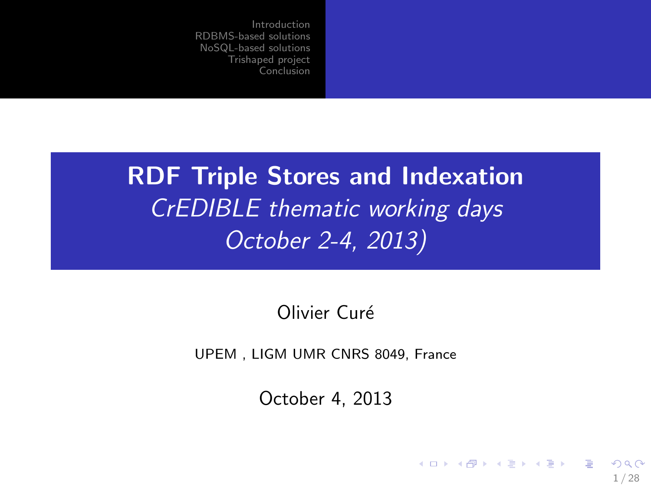# RDF Triple Stores and Indexation CrEDIBLE thematic working days October 2-4, 2013)

Olivier Curé

UPEM , LIGM UMR CNRS 8049, France

October 4, 2013

<span id="page-0-0"></span>1 / 28

 $209$ 

 $\mathbf{A} \equiv \mathbf{A} + \mathbf{A} \mathbf{B} + \mathbf{A} \mathbf{B} + \mathbf{A} \mathbf{B} + \mathbf{A} \mathbf{B}$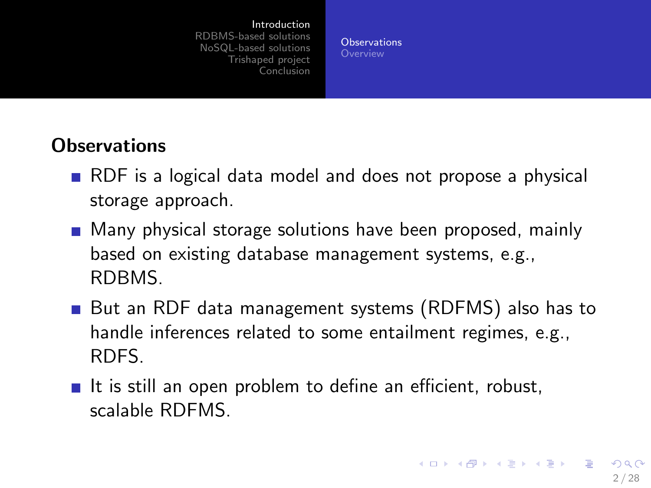<span id="page-1-0"></span>**[Observations](#page-1-0)** 

### **Observations**

- **RDF** is a logical data model and does not propose a physical storage approach.
- **Many physical storage solutions have been proposed, mainly** based on existing database management systems, e.g., RDBMS.
- But an RDF data management systems (RDFMS) also has to handle inferences related to some entailment regimes, e.g., RDFS.
- It is still an open problem to define an efficient, robust, scalable RDFMS.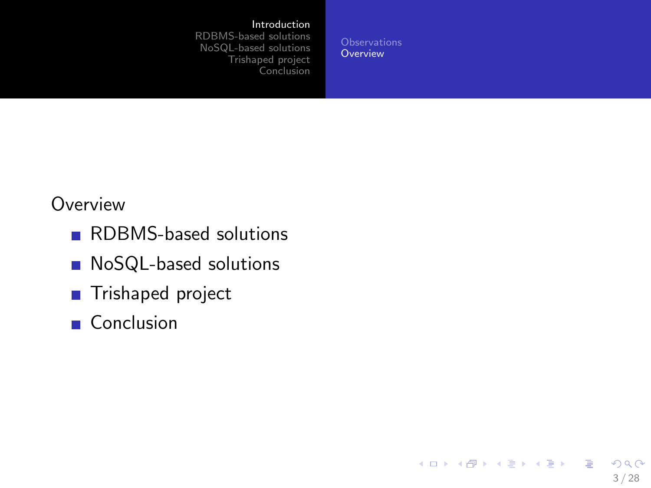#### [Introduction](#page-1-0)

[RDBMS-based solutions](#page-3-0) [NoSQL-based solutions](#page-10-0) [Trishaped project](#page-13-0) [Conclusion](#page-26-0)

**[Observations](#page-1-0) [Overview](#page-2-0)** 

<span id="page-2-0"></span>3 / 28

 $2990$ 

 $\equiv$ 

イロメ 不優 メイミメ 不思 メー

#### **Overview**

- RDBMS-based solutions
- **NoSQL-based solutions**
- Trishaped project
- Conclusion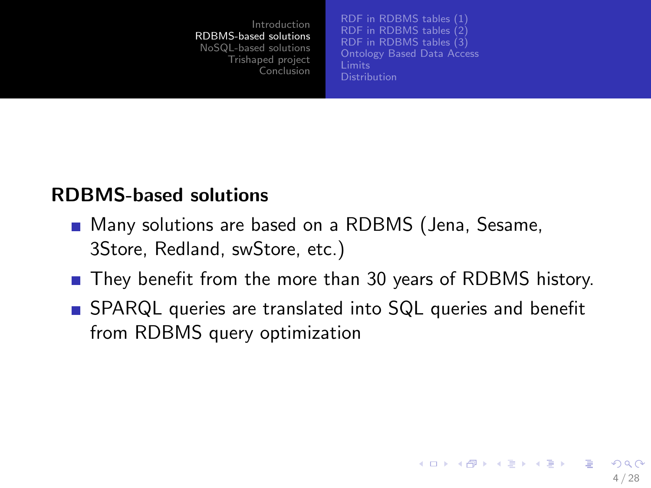[RDF in RDBMS tables \(1\)](#page-4-0) [RDF in RDBMS tables \(2\)](#page-5-0) [RDF in RDBMS tables \(3\)](#page-6-0) [Ontology Based Data Access](#page-7-0) **[Distribution](#page-9-0)** 

<span id="page-3-0"></span>4 / 28

 $\Omega$ 

 $\mathbf{A} \equiv \mathbf{A} + \mathbf{A} \mathbf{B} + \mathbf{A} \mathbf{B} + \mathbf{A} \mathbf{B} + \mathbf{A} \mathbf{B}$ 

### RDBMS-based solutions

- Many solutions are based on a RDBMS (Jena, Sesame, 3Store, Redland, swStore, etc.)
- They benefit from the more than 30 years of RDBMS history.
- SPARQL queries are translated into SQL queries and benefit from RDBMS query optimization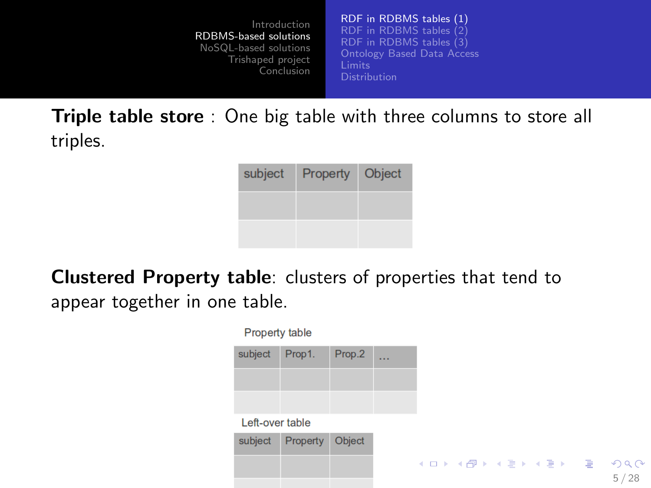[RDF in RDBMS tables \(1\)](#page-4-0) [RDF in RDBMS tables \(2\)](#page-5-0) RDF in RDBMS tables  $(3)$ [Ontology Based Data Access](#page-7-0)

**Triple table store** : One big table with three columns to store all triples.

| subject | Property | Object |
|---------|----------|--------|
|         |          |        |
|         |          |        |

Clustered Property table: clusters of properties that tend to appear together in one table.

<span id="page-4-0"></span>

| Property table  |          |        |  |  |  |  |                     |                                 |
|-----------------|----------|--------|--|--|--|--|---------------------|---------------------------------|
| subject         | Prop1.   | Prop.2 |  |  |  |  |                     |                                 |
|                 |          |        |  |  |  |  |                     |                                 |
|                 |          |        |  |  |  |  |                     |                                 |
| Left-over table |          |        |  |  |  |  |                     |                                 |
| subject         | Property | Object |  |  |  |  |                     |                                 |
|                 |          |        |  |  |  |  | メロメ メ御 メメ きょく ヨメ 一番 | $\mathcal{P} \circ \mathcal{P}$ |
|                 |          |        |  |  |  |  |                     | 28<br>5                         |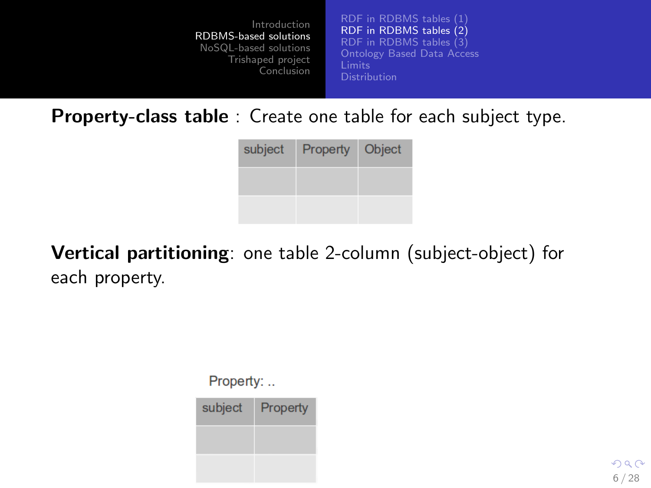[RDF in RDBMS tables \(1\)](#page-4-0) [RDF in RDBMS tables \(2\)](#page-5-0) [RDF in RDBMS tables \(3\)](#page-6-0) [Ontology Based Data Access](#page-7-0)

Property-class table : Create one table for each subject type.

| subject | Property | Object |
|---------|----------|--------|
|         |          |        |
|         |          |        |

Vertical partitioning: one table 2-column (subject-object) for each property.

Property: ..

| subject | Property |
|---------|----------|
|         |          |
|         |          |

<span id="page-5-0"></span> $QQ$ 6 / 28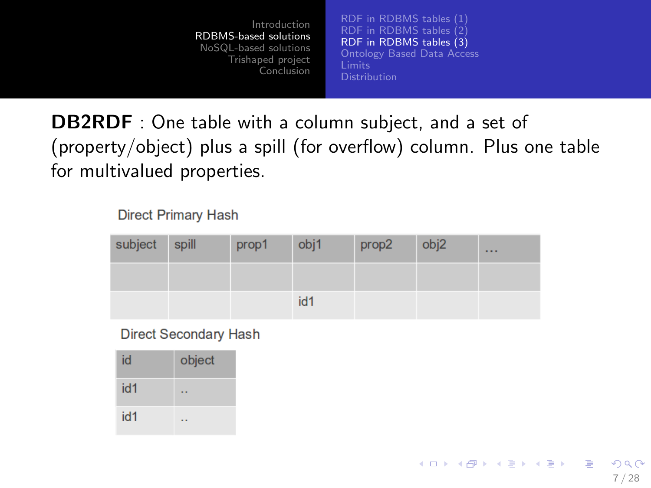[RDF in RDBMS tables \(1\)](#page-4-0) [RDF in RDBMS tables \(2\)](#page-5-0) [RDF in RDBMS tables \(3\)](#page-6-0) [Ontology Based Data Access](#page-7-0)

<span id="page-6-0"></span>7 / 28

 $\Omega$ 

イロト イ押 トイヨ トイヨ トー

**DB2RDF** : One table with a column subject, and a set of (property/object) plus a spill (for overflow) column. Plus one table for multivalued properties.

#### **Direct Primary Hash**

| subject spill | prop1 | obj1 | prop2 | obj2 | $\cdots$ |
|---------------|-------|------|-------|------|----------|
|               |       |      |       |      |          |
|               |       | id1  |       |      |          |

#### **Direct Secondary Hash**

| id  | object |
|-----|--------|
| id1 |        |
| id1 |        |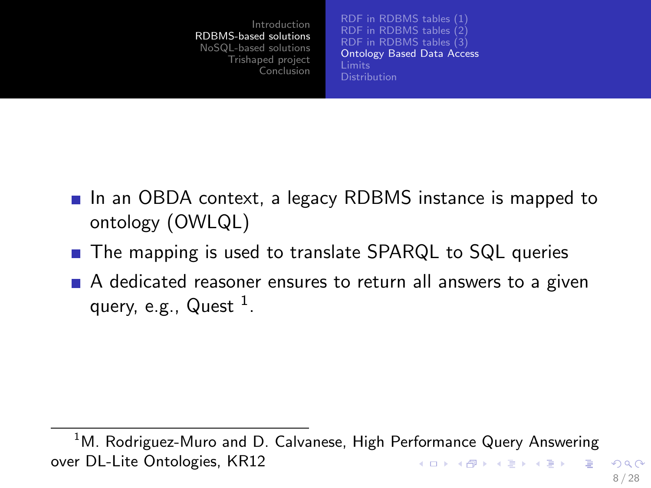<span id="page-7-0"></span>[RDF in RDBMS tables \(1\)](#page-4-0) [RDF in RDBMS tables \(2\)](#page-5-0) RDF in RDBMS tables  $(3)$ [Ontology Based Data Access](#page-7-0) **[Distribution](#page-9-0)** 

- In an OBDA context, a legacy RDBMS instance is mapped to ontology (OWLQL)
- The mapping is used to translate SPARQL to SQL queries
- A dedicated reasoner ensures to return all answers to a given query, e.g.,  $Q$ uest  $^1$ .

 $1$ M. Rodriguez-Muro and D. Calvanese, High Performance Query Answering over DL-Lite Ontologies, KR12  $\mathbf{A} \equiv \mathbf{A} + \mathbf{A} \mathbf{B} + \mathbf{A} \mathbf{B} + \mathbf{A} \mathbf{B} + \mathbf{B} \mathbf{B}$  $\Omega$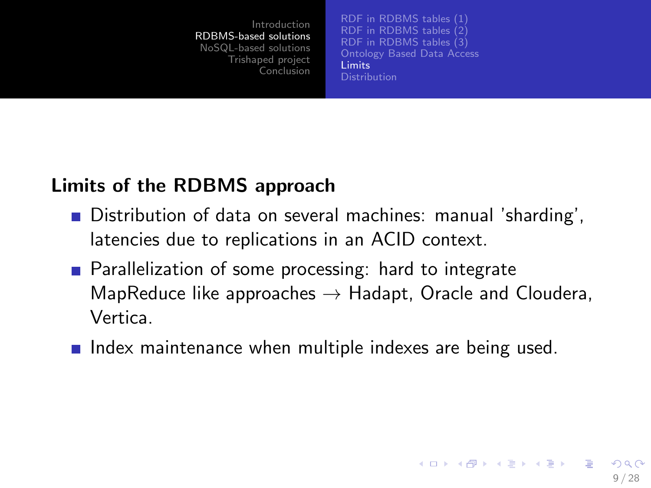<span id="page-8-0"></span>[RDF in RDBMS tables \(1\)](#page-4-0) [RDF in RDBMS tables \(2\)](#page-5-0) RDF in RDBMS tables  $(3)$ [Ontology Based Data Access](#page-7-0) [Limits](#page-8-0) **[Distribution](#page-9-0)** 

#### Limits of the RDBMS approach

- Distribution of data on several machines: manual 'sharding', latencies due to replications in an ACID context.
- **Parallelization of some processing: hard to integrate** MapReduce like approaches  $\rightarrow$  Hadapt, Oracle and Cloudera, Vertica.
- $\blacksquare$  Index maintenance when multiple indexes are being used.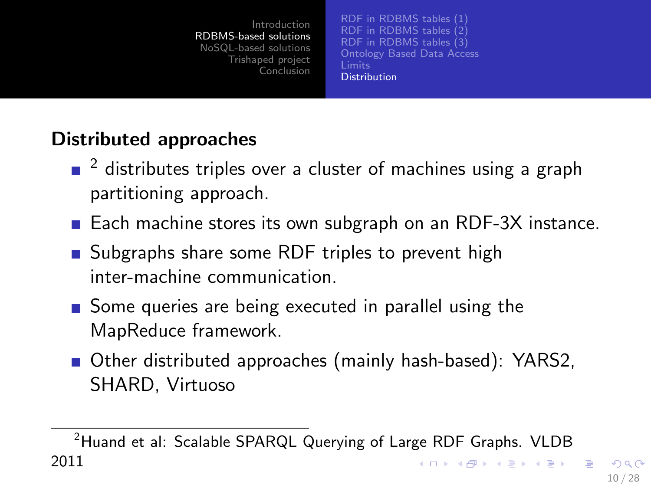<span id="page-9-0"></span>[RDF in RDBMS tables \(1\)](#page-4-0) [RDF in RDBMS tables \(2\)](#page-5-0) [RDF in RDBMS tables \(3\)](#page-6-0) [Ontology Based Data Access](#page-7-0) **[Distribution](#page-9-0)** 

## Distributed approaches

- $\Box$  2 distributes triples over a cluster of machines using a graph partitioning approach.
- Each machine stores its own subgraph on an RDF-3X instance.
- Subgraphs share some RDF triples to prevent high inter-machine communication.
- Some queries are being executed in parallel using the MapReduce framework.
- Other distributed approaches (mainly hash-based): YARS2, SHARD, Virtuoso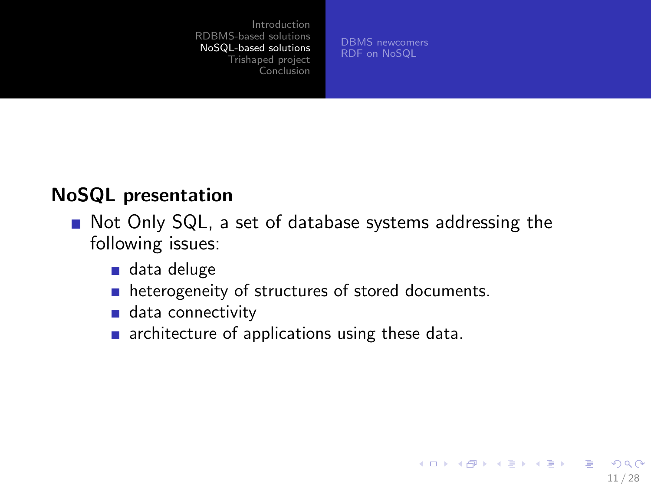[DBMS newcomers](#page-11-0) [RDF on NoSQL](#page-12-0)

<span id="page-10-0"></span>11 / 28

**KORK EX KEY STARK** 

### NoSQL presentation

- Not Only SQL, a set of database systems addressing the following issues:
	- data deluge
	- heterogeneity of structures of stored documents.  $\overline{\phantom{a}}$
	- data connectivity
	- $\blacksquare$  architecture of applications using these data.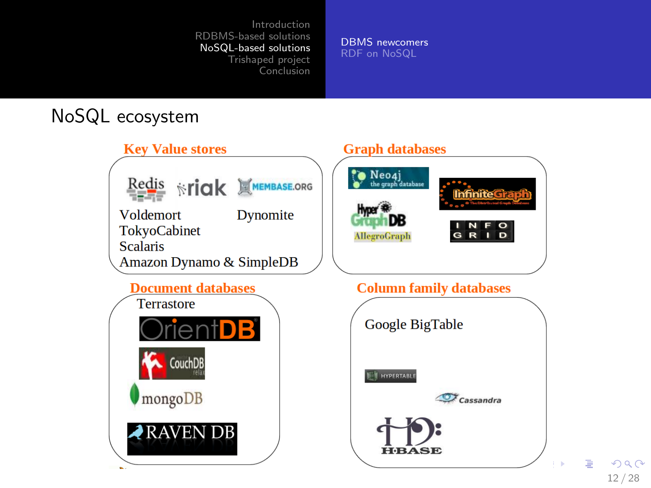[DBMS newcomers](#page-11-0) [RDF on NoSQL](#page-12-0)

### NoSQL ecosystem



<span id="page-11-0"></span>12 / 28

 $2990$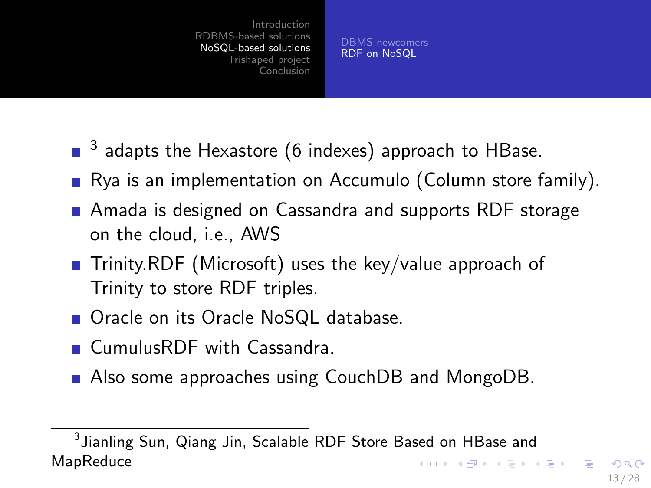<span id="page-12-0"></span>[DBMS newcomers](#page-11-0) [RDF on NoSQL](#page-12-0)

- $^3$  adapts the Hexastore (6 indexes) approach to HBase.
- **R**ya is an implementation on Accumulo (Column store family).
- Amada is designed on Cassandra and supports RDF storage on the cloud, i.e., AWS
- **T** Trinity.RDF (Microsoft) uses the key/value approach of Trinity to store RDF triples.
- Oracle on its Oracle NoSQL database.
- **CumulusRDF** with Cassandra.
- Also some approaches using CouchDB and MongoDB.

 $^3$ Jianling Sun, Qiang Jin, Scalable RDF Store Based on HBase and **MapReduce KORK EX KEY STARK**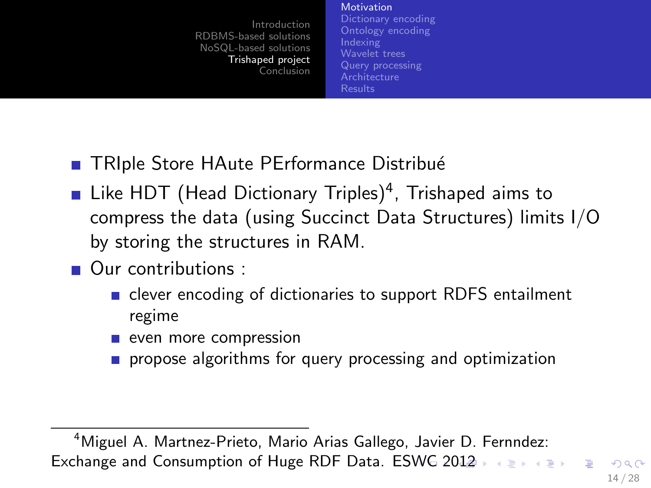**[Motivation](#page-13-0)** 

<span id="page-13-0"></span>[Dictionary encoding](#page-14-0) [Ontology encoding](#page-15-0) [Indexing](#page-16-0) [Wavelet trees](#page-17-0) [Query processing](#page-22-0) **[Architecture](#page-23-0)** [Results](#page-24-0)

- **TRIple Store HAute PErformance Distribué**
- Like HDT (Head Dictionary Triples)<sup>4</sup>, Trishaped aims to compress the data (using Succinct Data Structures) limits I/O by storing the structures in RAM.
- Our contributions :
	- clever encoding of dictionaries to support RDFS entailment regime
	- even more compression
	- propose algorithms for query processing and optimization

<sup>4</sup>Miguel A. Martnez-Prieto, Mario Arias Gallego, Javier D. Fernndez: Exchange and Consumption of Huge RDF Data. ESWG [2](#page-14-0)[01](#page-12-0)[2](#page-13-0)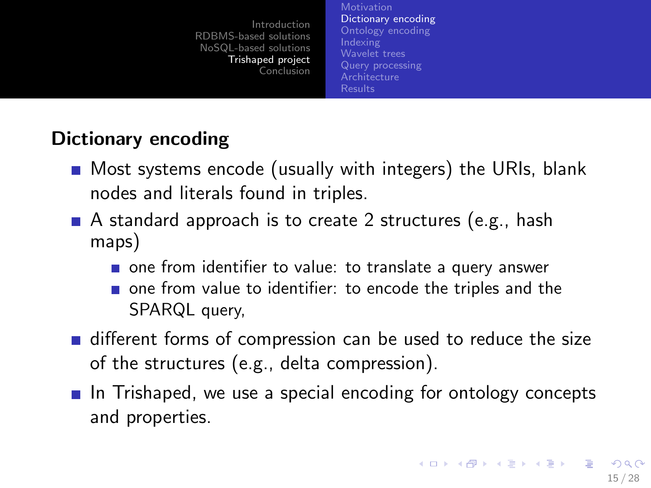**[Motivation](#page-13-0)** [Dictionary encoding](#page-14-0) [Ontology encoding](#page-15-0) [Indexing](#page-16-0) [Wavelet trees](#page-17-0) [Query processing](#page-22-0) **[Architecture](#page-23-0)** [Results](#page-24-0)

### Dictionary encoding

- **Most systems encode (usually with integers) the URIs, blank** nodes and literals found in triples.
- A standard approach is to create 2 structures (e.g., hash maps)
	- one from identifier to value: to translate a query answer
	- one from value to identifier: to encode the triples and the SPARQL query,
- different forms of compression can be used to reduce the size of the structures (e.g., delta compression).
- <span id="page-14-0"></span>In Trishaped, we use a special encoding for ontology concepts and properties.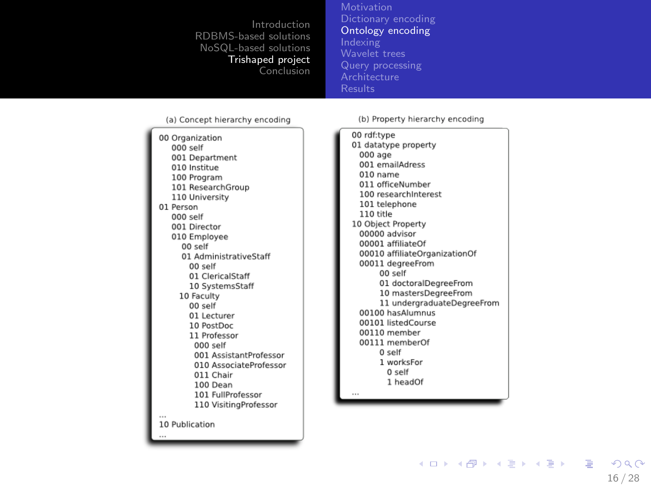[Motivation](#page-13-0) [Ontology encoding](#page-15-0) [Indexing](#page-16-0) [Wavelet trees](#page-17-0) [Query processing](#page-22-0) **[Architecture](#page-23-0)** 

#### (a) Concept hierarchy encoding

00 Organization 000 self 001 Department 010 Institue 100 Program 101 ResearchGroup 110 University 01 Person  $000$  self 001 Director 010 Employee  $00$  self 01 AdministrativeStaff 00 self 01 ClericalStaff 10 SystemsStaff 10 Faculty 00 self 01 Lecturer 10 PostDoc 11 Professor 000 self 001 AssistantProfessor 010 AssociateProfessor 011 Chair 100 Dean 101 FullProfessor 110 VisitingProfessor 10 Publication

(b) Property hierarchy encoding

00 rdf:type 01 datatype property 000 age 001 emailAdress 010 name 011 officeNumber 100 researchInterest 101 telephone 110 title 10 Object Property 00000 advisor 00001 affiliateOf 00010 affiliateOrganizationOf 00011 degreeFrom 00 self 01 doctoralDegreeFrom 10 mastersDegreeFrom 11 undergraduateDegreeFrom 00100 hasAlumnus 00101 listedCourse 00110 member 00111 memberOf 0 self 1 worksFor 0 self 1 headOf

<span id="page-15-0"></span>16 / 28

KID KARE KEEK EE VAR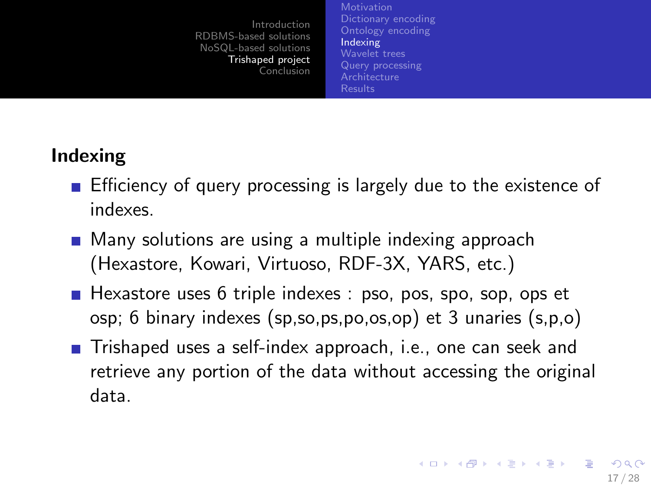**[Motivation](#page-13-0)** [Dictionary encoding](#page-14-0) [Ontology encoding](#page-15-0) [Indexing](#page-16-0) [Wavelet trees](#page-17-0) [Query processing](#page-22-0) **[Architecture](#page-23-0)** [Results](#page-24-0)

## Indexing

- **E** Efficiency of query processing is largely due to the existence of indexes.
- **Many solutions are using a multiple indexing approach** (Hexastore, Kowari, Virtuoso, RDF-3X, YARS, etc.)
- $\blacksquare$  Hexastore uses 6 triple indexes : pso, pos, spo, sop, ops et osp; 6 binary indexes (sp,so,ps,po,os,op) et 3 unaries (s,p,o)
- <span id="page-16-0"></span>■ Trishaped uses a self-index approach, i.e., one can seek and retrieve any portion of the data without accessing the original data.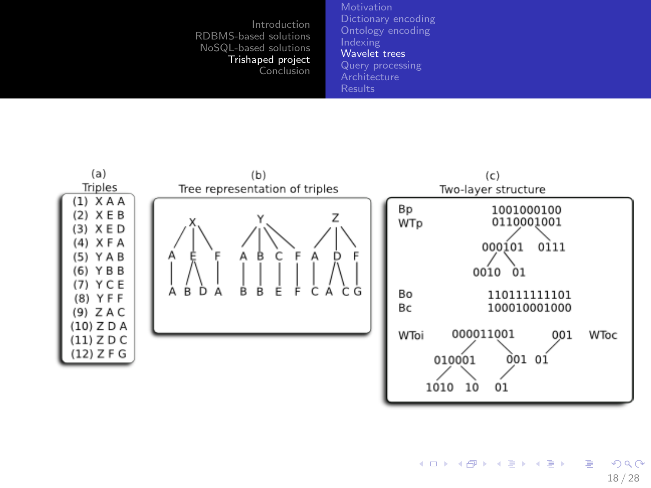[Dictionary encoding](#page-14-0) [Ontology encoding](#page-15-0) [Wavelet trees](#page-17-0) [Query processing](#page-22-0) **[Architecture](#page-23-0)** 



<span id="page-17-0"></span> $\left\{ \begin{array}{ccc} 1 & 0 & 0 \\ 0 & 1 & 0 \end{array} \right.$ E  $QQ$ 18 / 28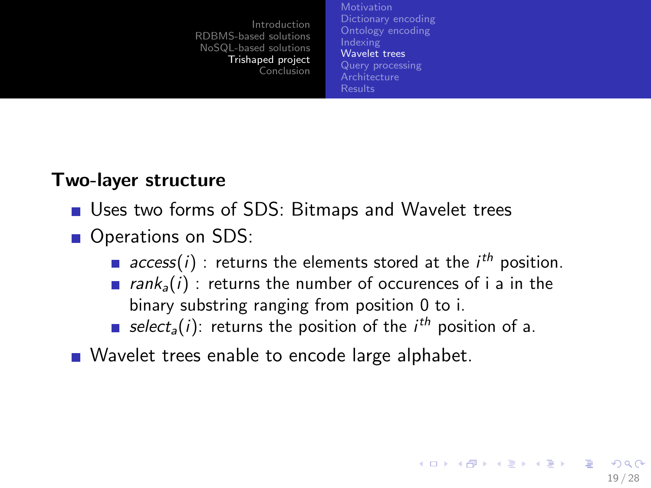**[Motivation](#page-13-0)** [Dictionary encoding](#page-14-0) [Ontology encoding](#page-15-0) [Indexing](#page-16-0) [Wavelet trees](#page-17-0) [Query processing](#page-22-0) [Results](#page-24-0)

19 / 28

**KORK EX KEY STARK** 

#### Two-layer structure

- Uses two forms of SDS: Bitmaps and Wavelet trees
- Operations on SDS:
	- $access(i)$ : returns the elements stored at the  $i<sup>th</sup>$  position.
	- **rank**<sub>a</sub> $(i)$ : returns the number of occurences of i a in the binary substring ranging from position 0 to i.
	- select<sub>a</sub>(i): returns the position of the *i<sup>th</sup>* position of a.
- Wavelet trees enable to encode large alphabet.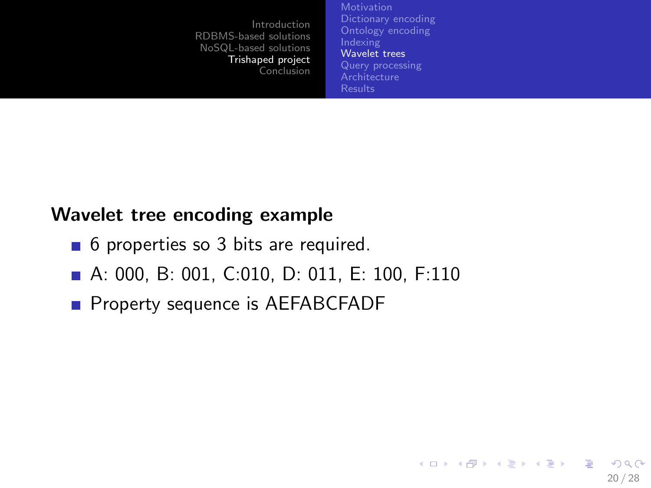**[Motivation](#page-13-0)** [Dictionary encoding](#page-14-0) [Ontology encoding](#page-15-0) [Indexing](#page-16-0) [Wavelet trees](#page-17-0) [Query processing](#page-22-0) **[Architecture](#page-23-0)** [Results](#page-24-0)

20 / 28

 $QQ$ 

画

イロト イ押 トイヨ トイヨ トー

#### Wavelet tree encoding example

- 6 properties so 3 bits are required.
- A: 000, B: 001, C:010, D: 011, E: 100, F:110
- **Property sequence is AEFABCFADF**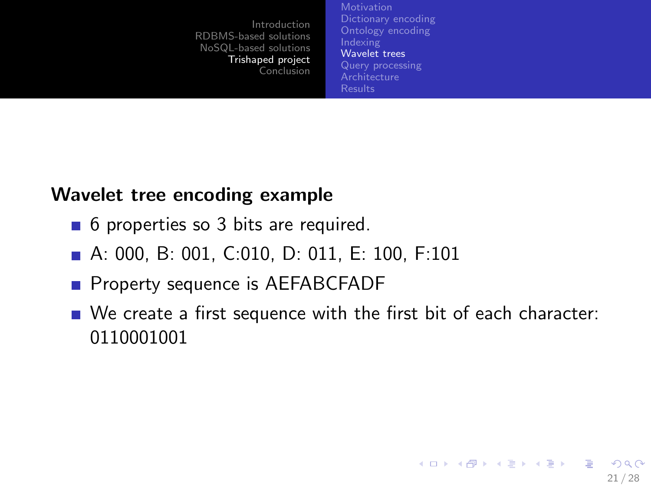**[Motivation](#page-13-0)** [Dictionary encoding](#page-14-0) [Ontology encoding](#page-15-0) [Indexing](#page-16-0) [Wavelet trees](#page-17-0) [Query processing](#page-22-0) [Results](#page-24-0)

#### Wavelet tree encoding example

- 6 properties so 3 bits are required.
- A: 000, B: 001, C:010, D: 011, E: 100, F:101
- **Property sequence is AEFABCFADF**
- We create a first sequence with the first bit of each character: 0110001001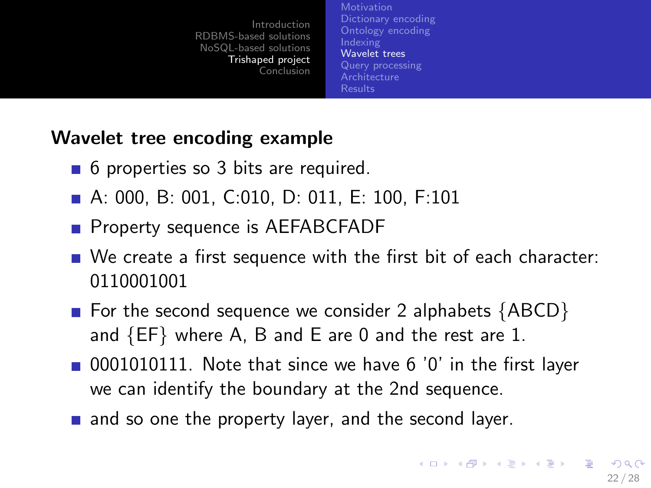**[Motivation](#page-13-0)** [Dictionary encoding](#page-14-0) [Ontology encoding](#page-15-0) [Indexing](#page-16-0) [Wavelet trees](#page-17-0) [Query processing](#page-22-0) **[Architecture](#page-23-0)** [Results](#page-24-0)

#### Wavelet tree encoding example

- 6 properties so 3 bits are required.
- A: 000, B: 001, C:010, D: 011, E: 100, F:101
- **Property sequence is AEFABCFADF**
- We create a first sequence with the first bit of each character: 0110001001
- For the second sequence we consider 2 alphabets  ${ABCD}$ and {EF} where A, B and E are 0 and the rest are 1.
- 0001010111. Note that since we have 6 '0' in the first layer we can identify the boundary at the 2nd sequence.
- and so one the property layer, and the second layer.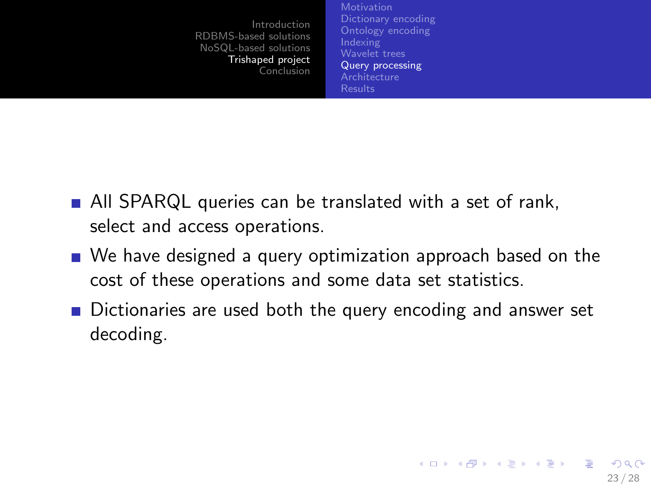<span id="page-22-0"></span>**[Motivation](#page-13-0)** [Ontology encoding](#page-15-0) [Indexing](#page-16-0) [Wavelet trees](#page-17-0) [Query processing](#page-22-0) **[Architecture](#page-23-0)** [Results](#page-24-0)

- All SPARQL queries can be translated with a set of rank, select and access operations.
- We have designed a query optimization approach based on the cost of these operations and some data set statistics.
- Dictionaries are used both the query encoding and answer set decoding.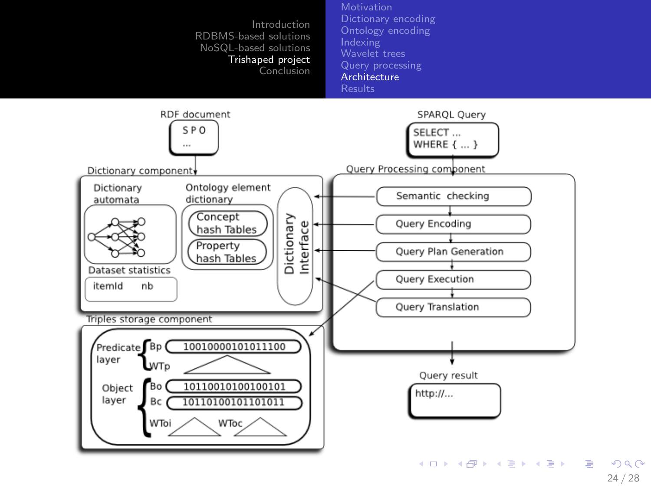

<span id="page-23-0"></span>24 / 28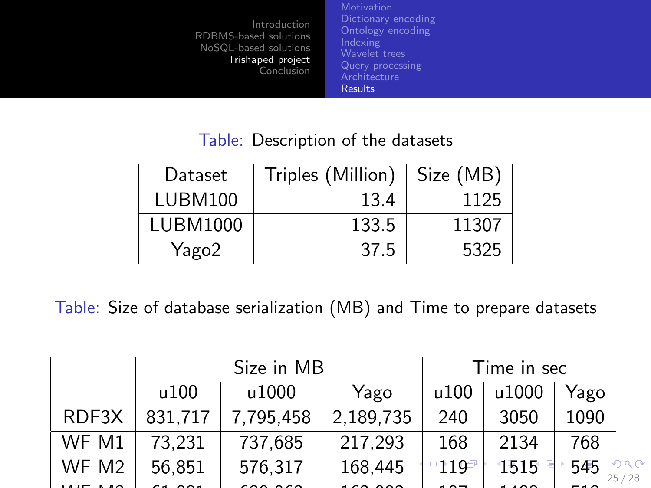[Ontology encoding](#page-15-0) [Wavelet trees](#page-17-0) [Query processing](#page-22-0) **[Architecture](#page-23-0)** [Results](#page-24-0)

#### <span id="page-24-0"></span>Table: Description of the datasets

| Dataset  | Triples (Million) | Size (MB) |
|----------|-------------------|-----------|
| LUBM100  | 13.4              | 1125      |
| LUBM1000 | 133.5             | 11307     |
| Yago2    | 37.5              | 5325      |

Table: Size of database serialization (MB) and Time to prepare datasets

|       |         | Time in sec          |                             |              |               |      |     |
|-------|---------|----------------------|-----------------------------|--------------|---------------|------|-----|
|       | u100    | u1000                | Yago                        | u100         | u1000         | Yago |     |
| RDF3X | 831,717 | 7.795,458            | 2,189,735                   | 240          | 3050          | 1090 |     |
| WF M1 | 73,231  | 737,685              | 217,293                     | 168          | 2134          | 768  |     |
| WF M2 | 56,851  | 576,317              | 168,445                     | <u>ግንገባዎ</u> | 1515          | 545  | '28 |
|       |         | $\sim$ $\sim$ $\sim$ | $\sim$ $\sim$ $\sim$ $\sim$ | - - -        | $\sim$ $\sim$ |      |     |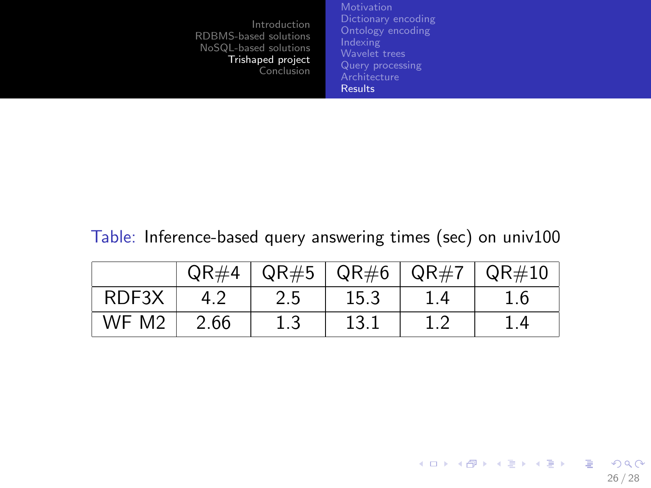<span id="page-25-0"></span>[Ontology encoding](#page-15-0) [Wavelet trees](#page-17-0) [Query processing](#page-22-0) **[Architecture](#page-23-0)** [Results](#page-24-0)

#### Table: Inference-based query answering times (sec) on univ100

|                   | QR#4 |     | $QR#5$   $QR#6$   $QR#7$ | $\vert$ QR#10 |
|-------------------|------|-----|--------------------------|---------------|
| RDF3X             |      | 2.5 | 15.3                     | 1.6           |
| WF M <sub>2</sub> | 2.66 | 1.3 | 13.1                     | -4            |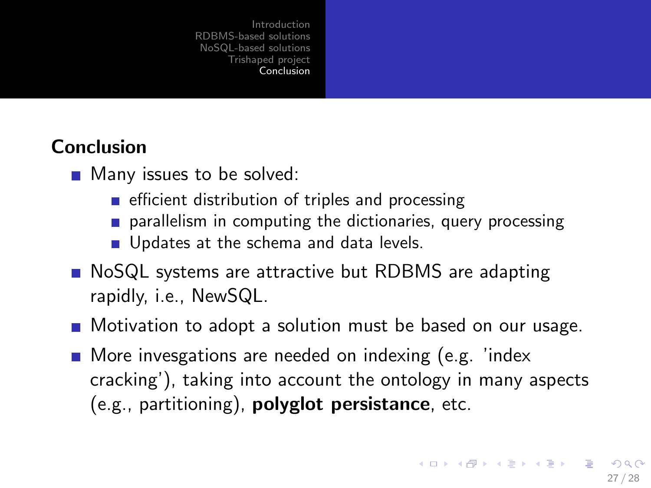### Conclusion

- **Many issues to be solved:** 
	- $\blacksquare$  efficient distribution of triples and processing
	- **parallelism in computing the dictionaries, query processing**
	- Updates at the schema and data levels.
- NoSQL systems are attractive but RDBMS are adapting rapidly, i.e., NewSQL.
- **Notivation to adopt a solution must be based on our usage.**
- <span id="page-26-0"></span>**More invesgations are needed on indexing (e.g. 'index** cracking'), taking into account the ontology in many aspects (e.g., partitioning), polyglot persistance, etc.